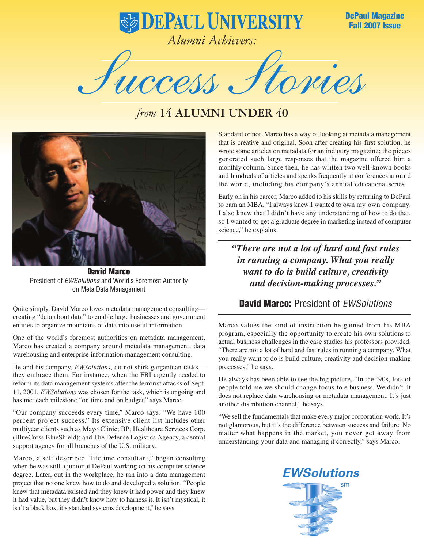**DePaul Magazine Fall 2007 Issue**

**B DEPAUL UNIVERSITY** *Alumni Achievers:*

Success Stories

## *from* **14 ALUMNI UNDER 40**



**David Marco** President of *EWSolutions* and World's Foremost Authority on Meta Data Management

Quite simply, David Marco loves metadata management consulting creating "data about data" to enable large businesses and government entities to organize mountains of data into useful information.

One of the world's foremost authorities on metadata management, Marco has created a company around metadata management, data warehousing and enterprise information management consulting.

He and his company, *EWSolutions,* do not shirk gargantuan tasks they embrace them. For instance, when the FBI urgently needed to reform its data management systems after the terrorist attacks of Sept. 11, 2001, *EWSolutions* was chosen for the task, which is ongoing and has met each milestone "on time and on budget," says Marco.

"Our company succeeds every time," Marco says. "We have 100 percent project success." Its extensive client list includes other multiyear clients such as Mayo Clinic; BP; Healthcare Services Corp. (BlueCross BlueShield); and The Defense Logistics Agency, a central support agency for all branches of the U.S. military.

Marco, a self described "lifetime consultant," began consulting when he was still a junior at DePaul working on his computer science degree. Later, out in the workplace, he ran into a data management project that no one knew how to do and developed a solution. "People knew that metadata existed and they knew it had power and they knew it had value, but they didn't know how to harness it. It isn't mystical, it isn't a black box, it's standard systems development," he says.

Standard or not, Marco has a way of looking at metadata management that is creative and original. Soon after creating his first solution, he wrote some articles on metadata for an industry magazine; the pieces generated such large responses that the magazine offered him a monthly column. Since then, he has written two well-known books and hundreds of articles and speaks frequently at conferences around the world, including his company's annual educational series.

Early on in his career, Marco added to his skills by returning to DePaul to earn an MBA. "I always knew I wanted to own my own company. I also knew that I didn't have any understanding of how to do that, so I wanted to get a graduate degree in marketing instead of computer science," he explains.

*"There are not a lot of hard and fast rules in running a company. What you really want to do is build culture, creativity and decision-making processes."*

## **David Marco:** President of *EWSolutions*

Marco values the kind of instruction he gained from his MBA program, especially the opportunity to create his own solutions to actual business challenges in the case studies his professors provided. "There are not a lot of hard and fast rules in running a company. What you really want to do is build culture, creativity and decision-making processes," he says.

He always has been able to see the big picture. "In the '90s, lots of people told me we should change focus to e-business. We didn't. It does not replace data warehousing or metadata management. It's just another distribution channel," he says.

"We sell the fundamentals that make every major corporation work. It's not glamorous, but it's the difference between success and failure. No matter what happens in the market, you never get away from understanding your data and managing it correctly," says Marco.